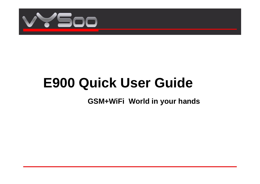

# **E900 Quick User Guide**

**GSM+WiFi World in your hands**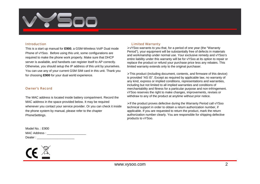

#### Introduction

This is a start up manual for **E900**, a GSM-Wireless VoIP Dual mode Phone of vYSoo. Before using this unit, some configurations are required to make the phone work properly. Make sure that DHCP server is available, and handsets can register itself to AP correctly. Otherwise, you should setup the IP address of this unit by yourselves. You can use any of your current GSM SIM card in this unit. Thank you for choosing **E900** for your dual world experience.

#### Owner's Record

The MAC address is located inside battery compartment. Record the MAC address in the space provided below. It may be required whenever you contact your service provider. Or you can check it inside the phone system by manual, please refer to the chapter PhoneSettings.

| Model No.: E900 |  |
|-----------------|--|
| MAC Address :   |  |
| Dealer:         |  |



#### Limited Warranty

¾vYSoo warrants to you that, for a period of one year (the "Warranty Period"), your equipment will be substantially free of defects in materials and workmanship under normal use. Your exclusive remedy and vYSoo's entire liability under this warranty will be for vYSoo at its option to repair or replace the product or refund your purchase price less any rebates. This limited warranty extends only to the original purchaser.

¾This product (including document, contents, and firmware of this device) is provided "AS IS". Except as required by applicable law, no warranty of any kind, express or implied conditions, representations and warranties, including but not limited to all implied warranties and conditions of merchantability and fitness for a particular purpose and non-infringement. vYSoo reserves the right to make changes, improvements, revises or withdraw to any of the product at anytime without prior notice.

¾If the product proves defective during the Warranty Period call vYSoo technical support in order to obtain a return authorization number, if applicable. If you are requested to return the product, mark the return authorization number clearly. You are responsible for shipping defective products to vYSoo.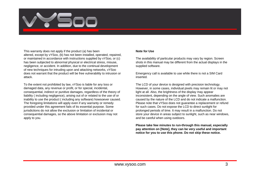

This warranty does not apply if the product (a) has been altered, except by vYSoo, (b) has not been installed, operated, repaired, or maintained in accordance with instructions supplied by vYSoo, or (c) has been subjected to abnormal physical or electrical stress, misuse, negligence, or accident. In addition, due to the continual development of new techniques for intruding upon and attacking networks, vYSoo does not warrant that the product will be free vulnerability to intrusion or attack.

To the extent not prohibited by law, vYSoo is liable for any loss or damaged data, any revenue or profit, or for special, incidental, consequential, indirect or punitive damages, regardless of the theory of liability ( including negligence), arising out of or related to the use of or inability to use the product ( including any software) howsoever caused. The foregoing limitations will apply even if any warranty or remedy provided under this agreement fails of its essential purpose. Some jurisdictions do not allow the exclusion or limitation of incidental or consequential damages, so the above limitation or exclusion may not apply to you.

#### **Note for Use**

The availability of particular products may vary by region. Screen shots in this manual may be different from the actual displays in the supplied software.

Emergency call is available to use while there is not a SIM Card inserted.

The LCD of your device is designed with precision technology. However, in some cases, individual pixels may remain lit or may not light at all. Also, the brightness of the display may appear inconsistent, depending on the angle of view. Such anomalies are caused by the nature of the LCD and do not indicate a malfunction. Please note that vYSoo does not quarantee a replacement or refund for such cases. Do not expose the LCD to direct sunlight for prolonged periods of time. It may result in a malfunction. Do not store your device in areas subject to sunlight, such as near windows, and be careful when using outdoors.

**Please take few minutes to run-through this manual, especially pay attention on [Note], they can be very useful and important notice for you to use this phone. Do not skip these notice.**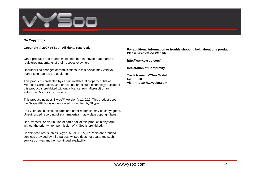

#### **On Copyrights**

#### **Copyright © 2007 vYSoo. All rights reserved.**

Other products and brands mentioned herein maybe trademarks or registered trademarks of their respective owners.

Unauthorized changes or modifications to this device may void your authority to operate the equipment.

This product is protected by certain intellectual property rights of Microsoft Corporation. Use or distribution of such technology outside of this product is prohibited without a license from Microsoft or an authorized Microsoft subsidiary.

This product includes Skype™ Version V1.1.0.20. This product uses the Skype API but is not endorsed or certified by Skype.

IP TV, IP Radio, films, pictures and other materials may be copyrighted. Unauthorized recording of such materials may violate copyright laws.

Use, transfer, or distribution of part or all of this product in any form without the prior written permission of vYSoo is prohibited.

Certain features, such as Skype, MSN, IP TV, IP Radio are branded services provided by third parties. vYSoo does not guarantee such services or warrant their continued availability.

**For additional information or trouble shooting help about this product, Please visit vYSoo Website:**

**http://www.vysoo.com/**

**Declaration of Conformity**

**Trade Name : vYSoo ModelNo. : E900Visit:http://www.vysoo.com**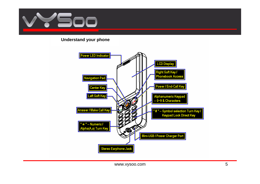

## **Understand your phone**

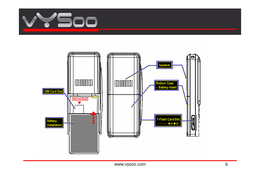

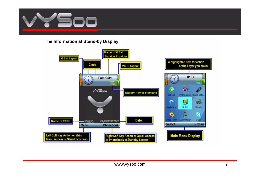

**The Information at Stand-by Display**

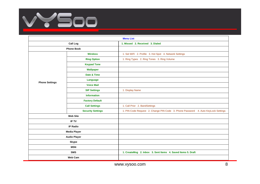

|                       | <b>Menu List</b>         |                                                                                   |  |  |
|-----------------------|--------------------------|-----------------------------------------------------------------------------------|--|--|
| <b>Call Log</b>       |                          | 1. Missed 2. Received 3. Dialed                                                   |  |  |
| <b>Phone Book</b>     |                          |                                                                                   |  |  |
| <b>Phone Settings</b> | <b>Wireless</b>          | 1. Set WiFi 2. Profile 3. Hot Spot 4. Network Settings                            |  |  |
|                       | <b>Ring Option</b>       | 1. Ring Types 2. Ring Tones 3. Ring Volume                                        |  |  |
|                       | <b>Keypad Tone</b>       |                                                                                   |  |  |
|                       | <b>Wallpaper</b>         |                                                                                   |  |  |
|                       | Date & Time              |                                                                                   |  |  |
|                       | Language                 |                                                                                   |  |  |
|                       | <b>Voice Mail</b>        |                                                                                   |  |  |
|                       | <b>SIP Settings</b>      | 1. Display Name                                                                   |  |  |
|                       | <b>Information</b>       |                                                                                   |  |  |
|                       | <b>Factory Default</b>   |                                                                                   |  |  |
|                       | <b>Call Settings</b>     | 1. Call Prior 2. BandSettings                                                     |  |  |
|                       | <b>Security Settings</b> | 1. PIN Code Request 2. Change PIN Code 3. Phone Password 4. Auto KeyLock Settings |  |  |
| <b>Web Site</b>       |                          |                                                                                   |  |  |
| <b>IP TV</b>          |                          |                                                                                   |  |  |
|                       | <b>IP Radio</b>          |                                                                                   |  |  |
| <b>Media Player</b>   |                          |                                                                                   |  |  |
|                       | <b>Audio Player</b>      |                                                                                   |  |  |
| <b>Skype</b>          |                          |                                                                                   |  |  |
| <b>MSN</b>            |                          |                                                                                   |  |  |
| <b>SMS</b>            |                          | 1. CreateMsg 2. Inbox 3. Sent Items 4. Saved Items 5. Draft                       |  |  |
| <b>Web Cam</b>        |                          |                                                                                   |  |  |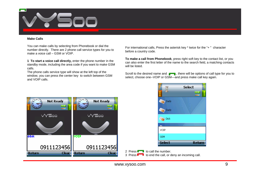

#### **Make Calls**

You can make calls by selecting from Phonebook or dial the number directly. There are 2 phone call service types for you to make a voice call – GSM or VOIP.

**1 To start a voice call directly,** enter the phone number in the standby mode, including the area code if you want to make GSM calls.

The phone calls service type will show at the left top of the window, you can press the center key to switch between GSM and VOIP calls.

For international calls, Press the asterisk key \* twice for the "+ " character before a country code.

**To make a call from Phonebook**, press right soft key to the contact list, or you can also enter the first letter of the name to the search field, a matching contacts will be listed.

Scroll to the desired name and  $\bullet$ , there will be options of call type for you to select, choose one--VOIP or GSM—and press make call key again.

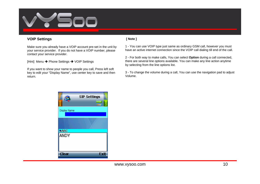

## **VOIP Settings**

Make sure you already have a VOIP account pre-set in the unit by your service provider. If you do not have a VOIP number, please contact your service provider.

[Hint] Menu Î Phone Settings Î VOIP Settings

If you want to show your name to people you call, Press left soft key to edit your "Display Name", use center key to save and then return.

#### **[ Note ]**

1 - You can use VOIP type just same as ordinary GSM call, however you must have an active internet connection since the VOIP call dialing till end of the call.

2 - For both way to make calls, You can select **Option** during a call connected, there are several line options available. You can make any line action anytime by selecting from the line options list.

3 - To change the volume during a call, You can use the navigation pad to adjust Volume.

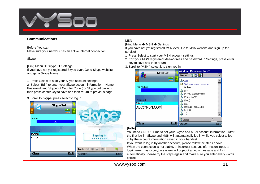

## **Communications**

Before You start

Make sure your network has an active internet connection.

#### Skype

[Hint] Menu **→** Skype **→** Settings

If you have not yet registered Skype ever, Go to Skype website and get a Skype Name!

1 Press Select to start your Skype account settings.

2 Select "Edit" to enter your Skype account information—Name, Password, and Skypeout Country Code (for Skype out dialing), then press center key to save and then return to previous page.

3 Scroll to **Skype**, press select to log in.



## MSN

[Hint] Menu **→** MSN → Settings

If you have not yet registered MSN ever, Go to MSN website and sign up for service!

- 1 Press Select to start your MSN account settings.
- 2. **Edit** your MSN registered Mail-address and password in Settings, press enter key to save and then return.
- 3. Scroll to "MSN", select it to sign you in.



#### **[Note]**

You need ONLY 1 Time to set your Skype and MSN account information. After the first log-in, Skype and MSN will automatically log in while you select to log in by the account information saved in your handset.

If you want to log in by another account, please follow the steps above. When the connection is not stable, or incorrect account information input, a log-in error may occur,the system will pop-out a notify message and fix it automatically. Please try the steps again and make sure you enter every words correct.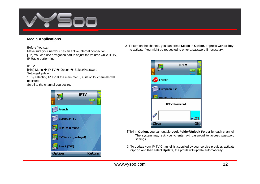

## **Media Applications**

Before You start

Make sure your network has an active internet connection.

[Tip] You can use navigation pad to adjust the volume while IT TV, IP Radio performing.

#### IP TV

[Hint] Menu → IP TV → Option → Select/Password Settings/Update 1 By selecting IP TV at the main menu, a list of TV channels will be listed.

Scroll to the channel you desire.



2 To turn on the channel, you can press **Select** in **Option**, or press **Center key** to activate. You might be requested to enter a password if necessary.



- **[Tip]** In **Option,** you can enable **Lock Folder/Unlock Folder** by each channel. The system may ask you to enter old password to access password settings.
- 3 To update your IP TV Channel list supplied by your service provider, activate **Option** and then select **Update**, the profile will update automatically.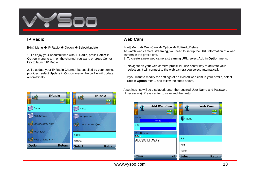

## **IP Radio**

[Hint] Menu → IP Radio → Option → Select/Update

1 To enjoy your beautiful time with IP Radio, press **Select** in **Option** menu to turn on the channel you want, or press Cente r key to launch IP Radio !

2. To update your IP Radio Channel list supplied by your service provider, select **Update** in **Option** menu, the profile will update automatically.

## **Web Cam**

[Hint] Menu → Web Cam → Option → Edit/Add/Delete To watch web camera streaming, you need to set up the URL information of a web camera in the profile first.

1 To create a new web camera streaming URL, select **Add** in **Option** menu.

- 2 Navigate on your web camera profile list, use center key to activate your selection, it will connect to the web camera you select automatically.
- 3 If you want to modify the settings of an existed web cam in your profile, select **Edit** in **Option** menu, and follow the steps above.

A settings list will be displayed, enter the required User Name and Password (if necessary). Press center to save and then return.



**IPRadio IPRadio** àn<sup>g</sup> **And** VOIP France France NRJ (France) **VRJ** (France) Love music 99.7(TW) Love music 99.7(TW) (CSM (SG) Select Voice of Taipei (TW) Update Option **Return Select Return** 

www.vysoo.com and the state of the state of the state of the state of the state of the state of the state of the state of the state of the state of the state of the state of the state of the state of the state of the state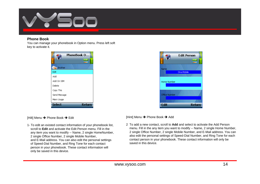

## **Phone Book**

You can manage your phonebook in Option menu. Press left soft key to activate it.





[Hilt] Menu **→** Phone Book → Edit

1- To edit an existed contact information of your phonebook list, scroll to **Edit** and activate the Edit Person menu. Fill in theany item you want to modify -- Name, 2 single HomeNumber, 2 single Office Number, 2 single Mobile Number, and E-Mail address. You can also edit the personal settings of Speed-Dial Number, and Ring Tone for each contact person in your phonebook. These contact information will only be saved in this device.

[Hint] Menu → Phone Book → Add

2 To add a new contact, scroll to **Add** and select to activate the Add Person menu. Fill in the any item you want to modify -- Name, 2 single Home Number, 2 single Office Number, 2 single Mobile Number, and E-Mail address. You can also edit the personal settings of Speed-Dial Number, and Ring Tone for each contact person in your phonebook. These contact information will only be saved in this device.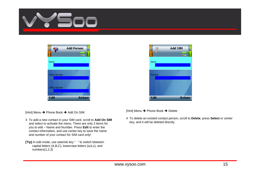





[Hint] Menu Î Phone Book Î Add On SIM

- 3 To add a new contact in your SIM card, scroll to **Add On SIM** and select to activate the menu. There are only 2 items for you to edit – Name and Number. Press **Edit** to enter the contact information, and use center key to save the name and number of your contact for SIM card only!
- **[Tip]** In edit mode, use asterisk key " " to switch between capital letters (A,B,C), lowercase letters (a,b,c), and numbers(1,2,3)

[Hint] Menu → Phone Book → Delete

4 To delete an existed contact person, scroll to **Delete**, press **Select** or center key, and it will be deleted directly.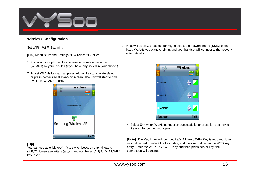

## **Wireless Configuration**

Set WiFi – Wi-Fi Scanning

[Hint] Menu **→** Phone Settings **→** Wireless **→** Set WiFi

- 1 Power on your phone, it will auto-scan wireless networks (WLANs) by your Profiles (if you have any saved in your phone.)
- 2 To set WLANs by manual, press left soft key to activate Select, or press center key at stand-by screen. The unit will start to find available WLANs nearby.



3 A list will display, press center key to select the network name (SSID) of the listed WLANs you want to join in, and your handset will connect to the network automatically.



4 Select **Exit** when WLAN connection successfully, or press left soft key to **Rescan** for connecting again.

**[Note]** The Key Index will pop out if a WEP Key / WPA Key is required. Use navigation pad to select the key index, and then jump down to the WEB key entry. Enter the WEP Key / WPA Key and then press center key, the connection will continue.

## **[Tip]**

You can use asterisk key("") to switch between capital letters (A,B,C), lowercase letters (a,b,c), and numbers(1,2,3) for WEP/WPA key insert.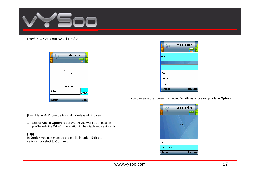

## **Profile –** Set Your Wi-Fi Profile



|               | <b>WiFi Profile</b><br>VOIP<br>88833 |  |
|---------------|--------------------------------------|--|
| VOIP1         |                                      |  |
|               |                                      |  |
| Edit          |                                      |  |
| Add           |                                      |  |
| Delete        |                                      |  |
| Connect       |                                      |  |
| <b>Select</b> | Return                               |  |

You can save the current connected WLAN as a location profile in **Option**.



[Hint] Menu **→** Phone Settings **→** Wireless **→** Profiles

1 Select **Add** in **Option** to set WLAN you want as a location profile, edit the WLAN information in the displayed settings list.

#### **[Tip]**

In **Option** you can manage the profile in order, **Edit** the settings, or select to **Connect**.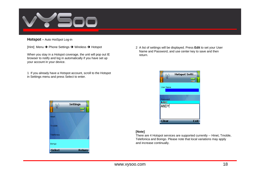

**Hotspot –** Auto HotSpot Log-in

[Hint] Menu → Phone Settings → Wireless → Hotspot

When you stay in a Hotspot coverage, the unit will pop out IE browser to notify and log in automatically if you have set up your account in your device.

1 If you already have a Hotspot account, scroll to the Hotspot in Settings menu and press Select to enter.



2 A list of settings will be displayed. Press **Edit** to set your User Name and Password, and use center key to save and then return.



#### **[Note]**

There are 4 Hotspot services are supported currently -- Hinet, Tmoble, Telefonica and Boingo. Please note that local variations may apply and increase continually.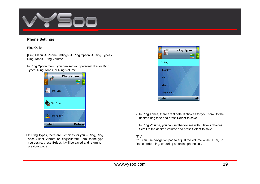

## **Phone Settings**

Ring Option

[Hint] Menu Î Phone Settings Î Ring Option Î Ring Types / Ring Tones / Ring Volume

In Ring Option menu, you can set your personal like for Ring Types, Ring Tones, or Ring Volume.



1 In Ring Types, there are 5 choices for you -- Ring, Ring once, Silent, Vibrate, or Ring&Vibrate. Scroll to the type you desire, press **Select**, it will be saved and return to previous page.



- 2 In Ring Tones, there are 3 default choices for you, scroll to the desired ring tone and press **Select** to save.
- 3 In Ring Volume, you can set the volume with 5 levels choices. Scroll to the desired volume and press **Select** to save.

#### **[Tip]**

You can use navigation pad to adjust the volume while IT TV, IP Radio performing, or during an online phone call.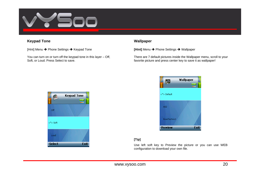

## **Keypad Tone**

[Hint] Menu Î Phone Settings Î Keypad Tone

You can turn on or turn off the keypad tone in this layer – Off, Soft, or Loud. Press Select to save.

### **Wallpaper**

**[Hint]** Menu **→** Phone Settings → Wallpaper

There are 7 default pictures inside the Wallpaper menu, scroll to your favorite picture and press center key to save it as wallpaper!



## **[Tip]**

Use left soft key to Preview the picture or you can use WEB configuration to download your own file.

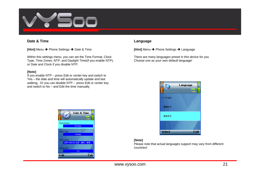

## **Date & Time**

**[Hint]** Menu **→** Phone Settings → Date & Time

Within this settings menu, you can set the Time Format, Clock Type, Time Zones, NTP, and Daylight Time(if you enable NTP), or Date and Clock if you disable NTP.

#### **[Note]**

If you enable NTP – press Edit or center key and switch to Yes – the date and time will automatically update and last walking. Or you can disable NTP -- press Edit or center key and switch to No – and Edit the time manually.



#### **Language**

**[Hint]** Menu Î Phone Settings Î Language

There are many languages preset in this device for you Choose one as your own default language!



#### **[Note]**

Please note that actual languages support may vary from different countries!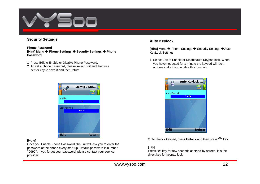

## **Security Settings**

#### **Phone Password [Hint] Menu**  Î **Phone Settings**  Î **Security Settings**  Î **Phone Password**

- 1 Press Edit to Enable or Disable Phone Password.
- 2 To set a phone password, please select Edit and then use center key to save it and then return.



#### **[Note]**

Once you Enable Phone Password, the unit will ask you to enter the password at the phone every start-up. Default password is number **"0000"**. If you forget your password, please contact your service provider.

## **Auto Keylock**

**[Hint]** Menu → Phone Settings → Security Settings → Auto KeyLock Settings

1 Select Edit to Enable or Disableauto Keypad lock. When you have not acted for 1 minute the keypad will lock automatically if you enable this function.



2 To Unlock keypad, press **Unlock** and then press " **\***" key.

#### **[Tip]**

Press **"#"** key for few seconds at stand-by screen, it is the direct key for keypad lock!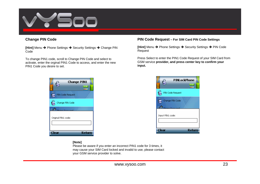

## **Change PIN Code**

**[Hint]** Menu → Phone Settings → Security Settings → Change PIN Code

To change PIN1 code, scroll to Change PIN Code and select to activate, enter the orginal PIN1 Code to access, and enter the new PIN1 Code you desire to set.



#### **PIN Code Request – For SIM Card PIN Code Settings**

**[Hint]** Menu → Phone Settings → Security Settings → PIN Code Request

Press Select to enter the PIN1 Code Request of your SIM Card from GSM service **provider, and press center key to confirm your input.**



#### **[Note]**

Please be aware if you enter an incorrect PIN1 code for 3 times, it may cause your SIM Card locked and invalid to use, please contact your GSM service provider to solve.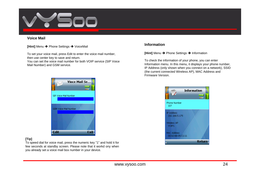

## **Voice Mail**

**[Hint]** Menu → Phone Settings → VoiceMail

To set your voice mail, press Edit to enter the voice mail number, then use center key to save and return.

You can set the voice mail number for both VOIP service (SIP Voice Mail Number) and GSM service.



## **[Tip]**

To speed dial for voice mail, press the numeric key "1" and hold it for few seconds at standby screen. Please note that it workd ony when you already set a voice mail box number in your device.

## **Information**

**[Hint]** Menu → Phone Settings → Information

To check the information of your phone, you can enter Information menu. In this menu, it displays your phone number, IP Address (only shown when you connect on a network), SSID (the current connected Wireless AP), MAC Address and Firmware Version.

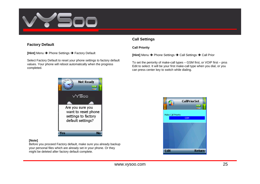

## **Factory Default**

**[Hint]** Menu Î Phone Settings Î Factory Default

Select Factory Default to reset your phone settings to factory default values. Your phone will reboot automatically when the progress completed.

## **Call Settings**

#### **Call Priority**

**[Hint]** Menu → Phone Settings → Call Settings → Call Prior

To set the periority of make-call types – GSM first, or VOIP first – prss Edit to select. It will be your first make-call type when you dial, or you can press center key to switch while dialing.



#### **[Note]**

Before you proceed Factory default, make sure you already backup your personal files which are already set in your phone. Or they might be deleted after factory default complete.

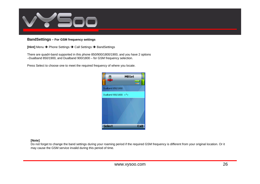

#### **BandSettings – For GSM frequency settings**

**[Hint]** Menu **→** Phone Settings → Call Settings → BandSettings

There are quadri-band supported in this phone 850/900/1800/1900, and you have 2 options –Dualband 850/1900, and Dualband 900/1800 – for GSM frequency selection.

Press Select to choose one to meet the required frequency of where you locate.



#### **[Note]**

Do not forget to change the band settings during your roaming period if the required GSM frequency is different from your original location. Or it may cause the GSM service invalid during this period of time.